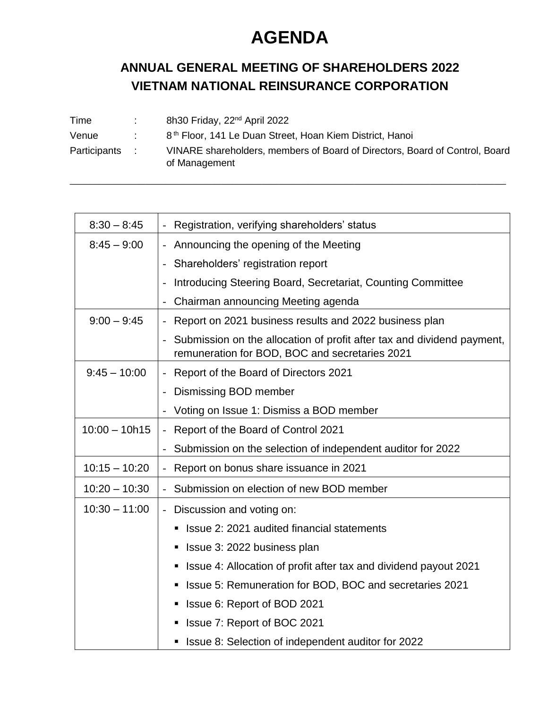## **AGENDA**

## **ANNUAL GENERAL MEETING OF SHAREHOLDERS 2022 VIETNAM NATIONAL REINSURANCE CORPORATION**

| Time         | 8h30 Friday, 22 <sup>nd</sup> April 2022                                                     |
|--------------|----------------------------------------------------------------------------------------------|
| Venue        | 8 <sup>th</sup> Floor, 141 Le Duan Street, Hoan Kiem District, Hanoi                         |
| Participants | VINARE shareholders, members of Board of Directors, Board of Control, Board<br>of Management |

| $8:30 - 8:45$   | Registration, verifying shareholders' status                                                                                              |
|-----------------|-------------------------------------------------------------------------------------------------------------------------------------------|
| $8:45 - 9:00$   | - Announcing the opening of the Meeting                                                                                                   |
|                 | Shareholders' registration report<br>$\overline{\phantom{a}}$                                                                             |
|                 | Introducing Steering Board, Secretariat, Counting Committee                                                                               |
|                 | Chairman announcing Meeting agenda                                                                                                        |
| $9:00 - 9:45$   | - Report on 2021 business results and 2022 business plan                                                                                  |
|                 | Submission on the allocation of profit after tax and dividend payment,<br>$\frac{1}{2}$<br>remuneration for BOD, BOC and secretaries 2021 |
| $9:45 - 10:00$  | - Report of the Board of Directors 2021                                                                                                   |
|                 | Dismissing BOD member<br>$\overline{\phantom{a}}$                                                                                         |
|                 | Voting on Issue 1: Dismiss a BOD member                                                                                                   |
| $10:00 - 10h15$ | - Report of the Board of Control 2021                                                                                                     |
|                 | Submission on the selection of independent auditor for 2022<br>$\overline{\phantom{m}}$                                                   |
| $10:15 - 10:20$ | Report on bonus share issuance in 2021                                                                                                    |
| $10:20 - 10:30$ | Submission on election of new BOD member                                                                                                  |
| $10:30 - 11:00$ | - Discussion and voting on:                                                                                                               |
|                 | Issue 2: 2021 audited financial statements<br>٠                                                                                           |
|                 | Issue 3: 2022 business plan<br>п                                                                                                          |
|                 | Issue 4: Allocation of profit after tax and dividend payout 2021<br>П                                                                     |
|                 | Issue 5: Remuneration for BOD, BOC and secretaries 2021<br>п                                                                              |
|                 | Issue 6: Report of BOD 2021<br>П                                                                                                          |
|                 | Issue 7: Report of BOC 2021<br>п                                                                                                          |
|                 | Issue 8: Selection of independent auditor for 2022                                                                                        |